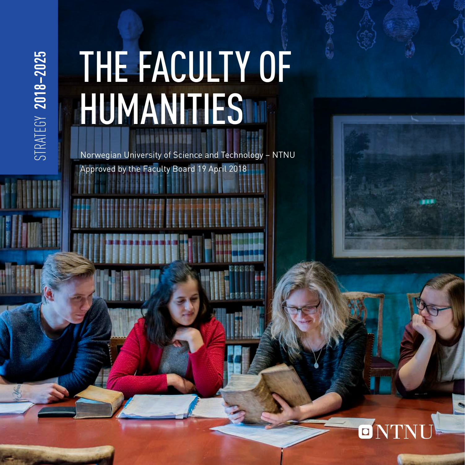# STRATEGY 2018-2025 STRATEGY **2018–2025**

# THE FACULTY OF HUMANITIES

Norwegian University of Science and Technology – NTNU Approved by the Faculty Board 19 April 2018

## $\overline{\mathbf{O}}$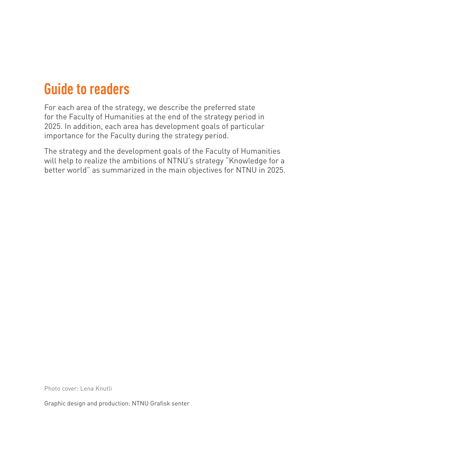#### **Guide to readers**

For each area of the strategy, we describe the preferred state for the Faculty of Humanities at the end of the strategy period in 2025. In addition, each area has development goals of particular importance for the Faculty during the strategy period.

The strategy and the development goals of the Faculty of Humanities will help to realize the ambitions of NTNU's strategy "Knowledge for a better world" as summarized in the main objectives for NTNU in 2025.

Photo cover: Lena Knutli

Graphic design and production: NTNU Grafisk senter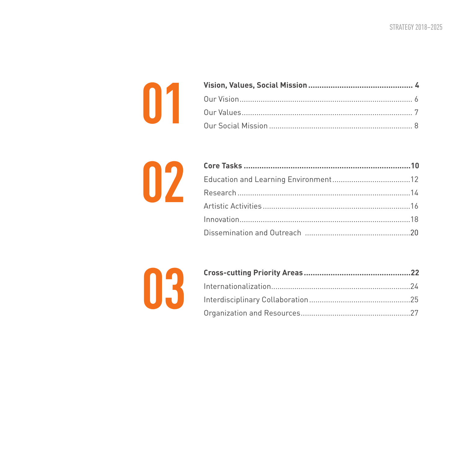



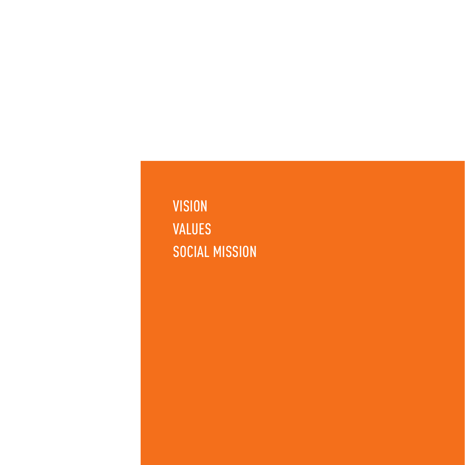**VISION** VALUES SOCIAL MISSION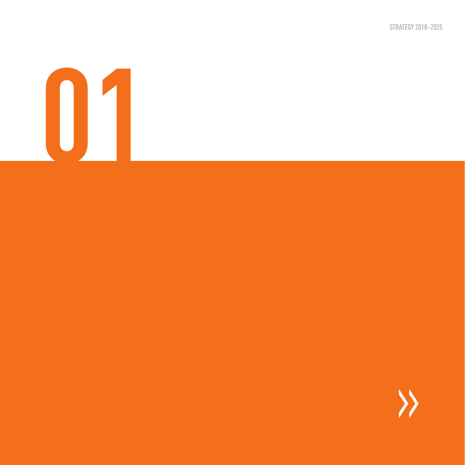STRATEGY 2018–2025

# **01**

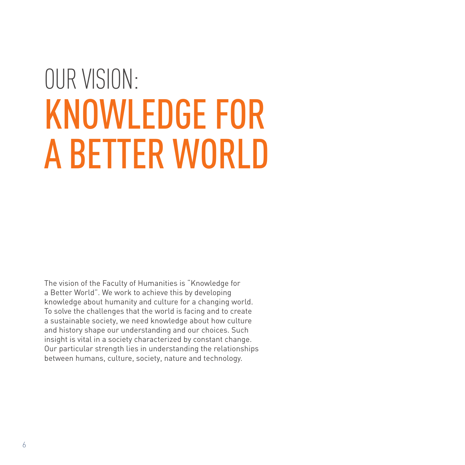# OUR VISION: KNOWLEDGE FOR A BETTER WORLD

The vision of the Faculty of Humanities is "Knowledge for a Better World". We work to achieve this by developing knowledge about humanity and culture for a changing world. To solve the challenges that the world is facing and to create a sustainable society, we need knowledge about how culture and history shape our understanding and our choices. Such insight is vital in a society characterized by constant change. Our particular strength lies in understanding the relationships between humans, culture, society, nature and technology.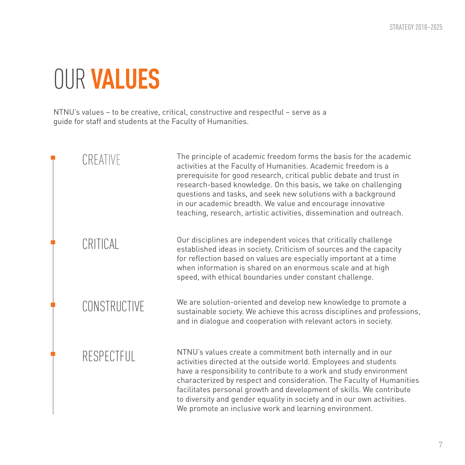## OUR **VALUES**

NTNU's values – to be creative, critical, constructive and respectful – serve as a guide for staff and students at the Faculty of Humanities.

| CREATIVE     | The principle of academic freedom forms the basis for the academic<br>activities at the Faculty of Humanities. Academic freedom is a<br>prerequisite for good research, critical public debate and trust in<br>research-based knowledge. On this basis, we take on challenging<br>questions and tasks, and seek new solutions with a background<br>in our academic breadth. We value and encourage innovative<br>teaching, research, artistic activities, dissemination and outreach.        |
|--------------|----------------------------------------------------------------------------------------------------------------------------------------------------------------------------------------------------------------------------------------------------------------------------------------------------------------------------------------------------------------------------------------------------------------------------------------------------------------------------------------------|
| CRITICAL     | Our disciplines are independent voices that critically challenge<br>established ideas in society. Criticism of sources and the capacity<br>for reflection based on values are especially important at a time<br>when information is shared on an enormous scale and at high<br>speed, with ethical boundaries under constant challenge.                                                                                                                                                      |
| CONSTRUCTIVE | We are solution-oriented and develop new knowledge to promote a<br>sustainable society. We achieve this across disciplines and professions,<br>and in dialogue and cooperation with relevant actors in society.                                                                                                                                                                                                                                                                              |
| RESPECTFUL   | NTNU's values create a commitment both internally and in our<br>activities directed at the outside world. Employees and students<br>have a responsibility to contribute to a work and study environment<br>characterized by respect and consideration. The Faculty of Humanities<br>facilitates personal growth and development of skills. We contribute<br>to diversity and gender equality in society and in our own activities.<br>We promote an inclusive work and learning environment. |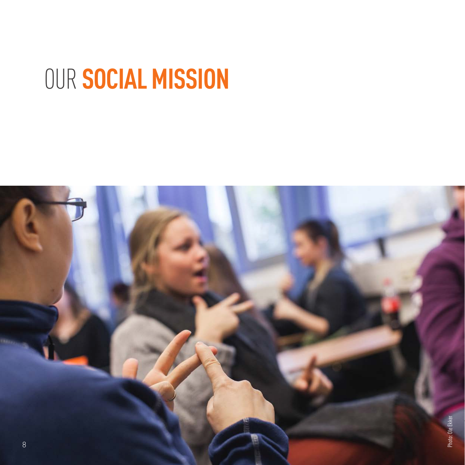## OUR **SOCIAL MISSION**

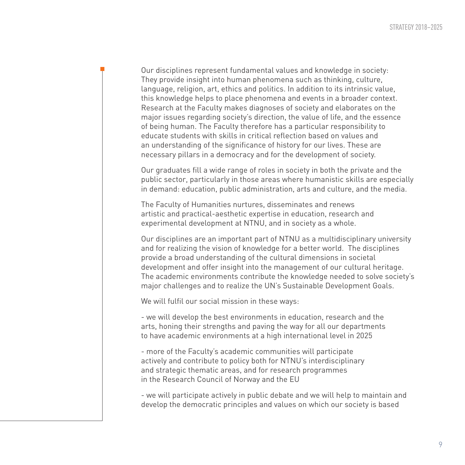Our disciplines represent fundamental values and knowledge in society: They provide insight into human phenomena such as thinking, culture, language, religion, art, ethics and politics. In addition to its intrinsic value, this knowledge helps to place phenomena and events in a broader context. Research at the Faculty makes diagnoses of society and elaborates on the major issues regarding society's direction, the value of life, and the essence of being human. The Faculty therefore has a particular responsibility to educate students with skills in critical reflection based on values and an understanding of the significance of history for our lives. These are necessary pillars in a democracy and for the development of society.

Our graduates fill a wide range of roles in society in both the private and the public sector, particularly in those areas where humanistic skills are especially in demand: education, public administration, arts and culture, and the media.

The Faculty of Humanities nurtures, disseminates and renews artistic and practical-aesthetic expertise in education, research and experimental development at NTNU, and in society as a whole.

Our disciplines are an important part of NTNU as a multidisciplinary university and for realizing the vision of knowledge for a better world. The disciplines provide a broad understanding of the cultural dimensions in societal development and offer insight into the management of our cultural heritage. The academic environments contribute the knowledge needed to solve society's major challenges and to realize the UN's Sustainable Development Goals.

We will fulfil our social mission in these ways:

- we will develop the best environments in education, research and the arts, honing their strengths and paving the way for all our departments to have academic environments at a high international level in 2025

- more of the Faculty's academic communities will participate actively and contribute to policy both for NTNU's interdisciplinary and strategic thematic areas, and for research programmes in the Research Council of Norway and the EU

- we will participate actively in public debate and we will help to maintain and develop the democratic principles and values on which our society is based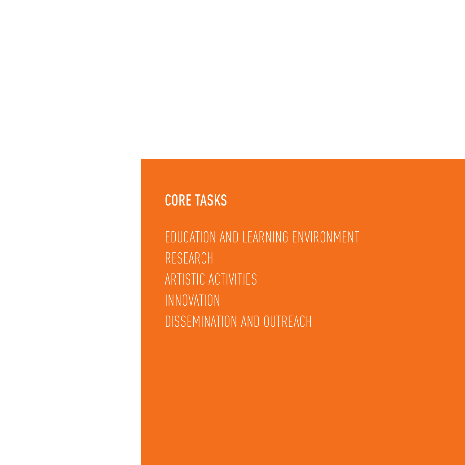#### CORE TASKS

EDUCATION AND LEARNING ENVIRONMENT RESEARCH ARTISTIC ACTIVITIES INNOVATION DISSEMINATION AND OUTREACH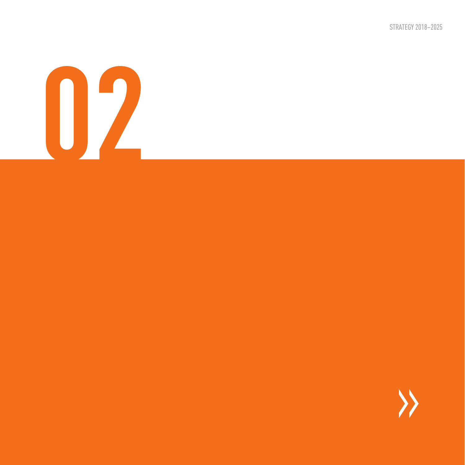STRATEGY 2018–2025

# **02**

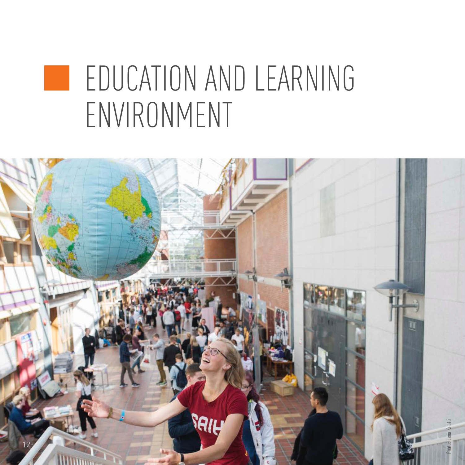## EDUCATION AND LEARNING M. ENVIRONMENT

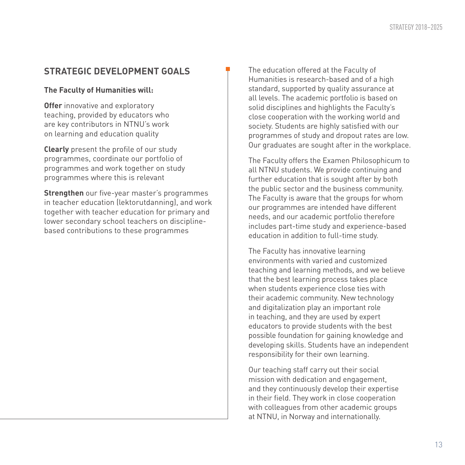#### **The Faculty of Humanities will:**

**Offer** innovative and exploratory teaching, provided by educators who are key contributors in NTNU's work on learning and education quality

**Clearly** present the profile of our study programmes, coordinate our portfolio of programmes and work together on study programmes where this is relevant

**Strengthen** our five-year master's programmes in teacher education (lektorutdanning), and work together with teacher education for primary and lower secondary school teachers on disciplinebased contributions to these programmes

The education offered at the Faculty of Humanities is research-based and of a high standard, supported by quality assurance at all levels. The academic portfolio is based on solid disciplines and highlights the Faculty's close cooperation with the working world and society. Students are highly satisfied with our programmes of study and dropout rates are low. Our graduates are sought after in the workplace.

The Faculty offers the Examen Philosophicum to all NTNU students. We provide continuing and further education that is sought after by both the public sector and the business community. The Faculty is aware that the groups for whom our programmes are intended have different needs, and our academic portfolio therefore includes part-time study and experience-based education in addition to full-time study.

The Faculty has innovative learning environments with varied and customized teaching and learning methods, and we believe that the best learning process takes place when students experience close ties with their academic community. New technology and digitalization play an important role in teaching, and they are used by expert educators to provide students with the best possible foundation for gaining knowledge and developing skills. Students have an independent responsibility for their own learning.

Our teaching staff carry out their social mission with dedication and engagement, and they continuously develop their expertise in their field. They work in close cooperation with colleagues from other academic groups at NTNU, in Norway and internationally.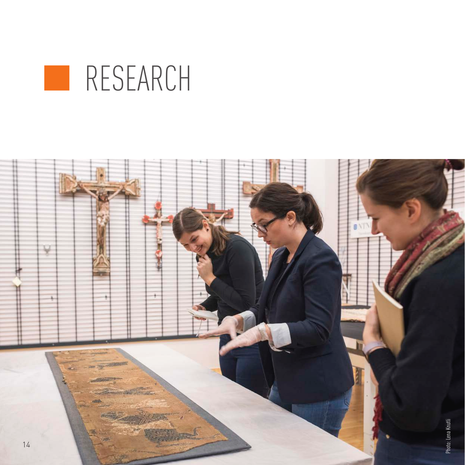

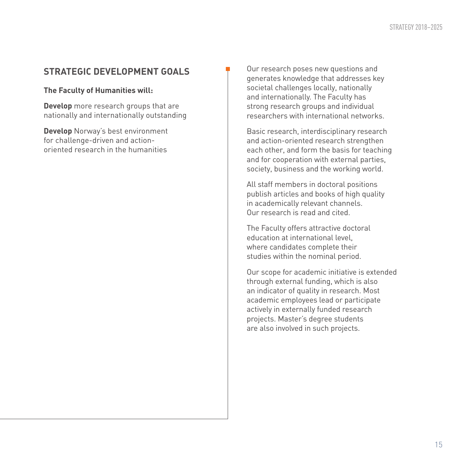#### **The Faculty of Humanities will:**

**Develop** more research groups that are nationally and internationally outstanding

**Develop** Norway's best environment for challenge-driven and actionoriented research in the humanities

Our research poses new questions and generates knowledge that addresses key societal challenges locally, nationally and internationally. The Faculty has strong research groups and individual researchers with international networks.

Basic research, interdisciplinary research and action-oriented research strengthen each other, and form the basis for teaching and for cooperation with external parties, society, business and the working world.

All staff members in doctoral positions publish articles and books of high quality in academically relevant channels. Our research is read and cited.

The Faculty offers attractive doctoral education at international level, where candidates complete their studies within the nominal period.

Our scope for academic initiative is extended through external funding, which is also an indicator of quality in research. Most academic employees lead or participate actively in externally funded research projects. Master's degree students are also involved in such projects.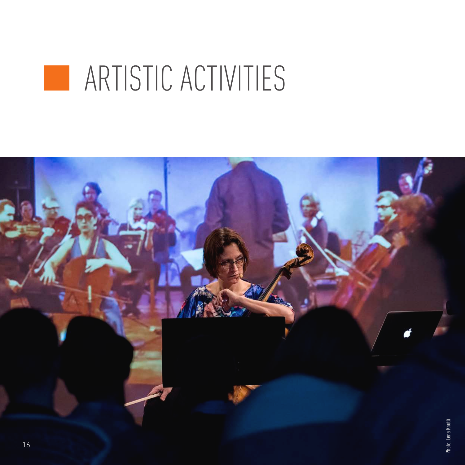# **ARTISTIC ACTIVITIES**

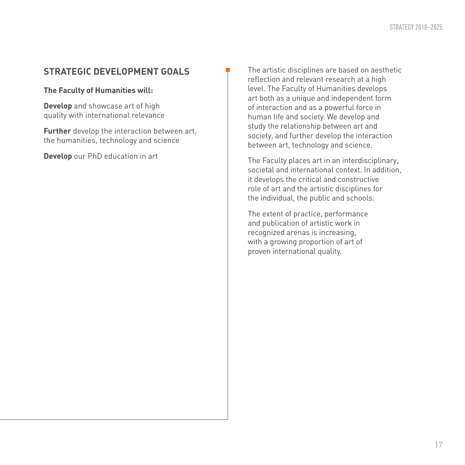**The Faculty of Humanities will:** 

**Develop** and showcase art of high quality with international relevance

**Further** develop the interaction between art, the humanities, technology and science

**Develop** our PhD education in art

The artistic disciplines are based on aesthetic reflection and relevant research at a high level. The Faculty of Humanities develops art both as a unique and independent form of interaction and as a powerful force in human life and society. We develop and study the relationship between art and society, and further develop the interaction between art, technology and science.

The Faculty places art in an interdisciplinary, societal and international context. In addition, it develops the critical and constructive role of art and the artistic disciplines for the individual, the public and schools.

The extent of practice, performance and publication of artistic work in recognized arenas is increasing, with a growing proportion of art of proven international quality.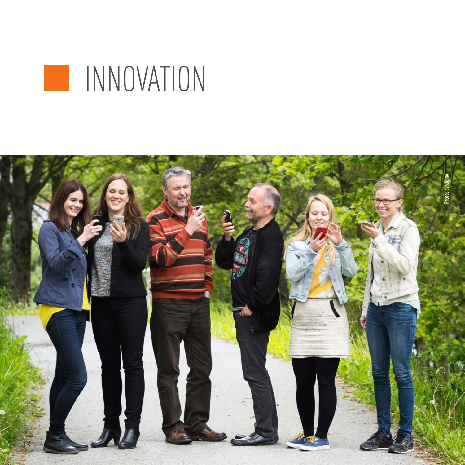

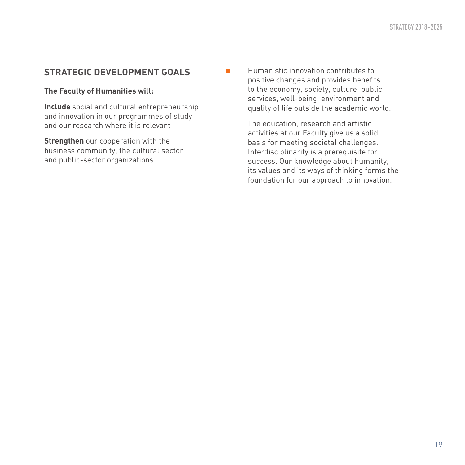**The Faculty of Humanities will:**

**Include** social and cultural entrepreneurship and innovation in our programmes of study and our research where it is relevant

**Strengthen** our cooperation with the business community, the cultural sector and public-sector organizations

Humanistic innovation contributes to positive changes and provides benefits to the economy, society, culture, public services, well-being, environment and quality of life outside the academic world.

The education, research and artistic activities at our Faculty give us a solid basis for meeting societal challenges. Interdisciplinarity is a prerequisite for success. Our knowledge about humanity, its values and its ways of thinking forms the foundation for our approach to innovation.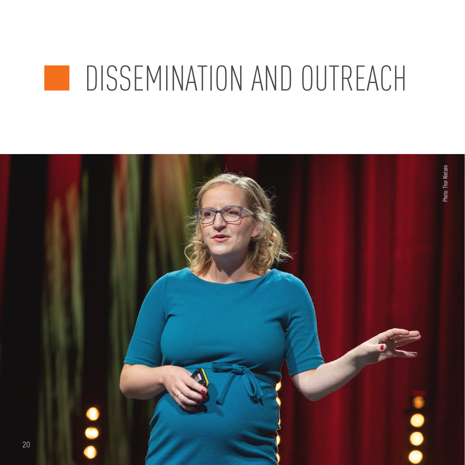#### DISSEMINATION AND OUTREACH

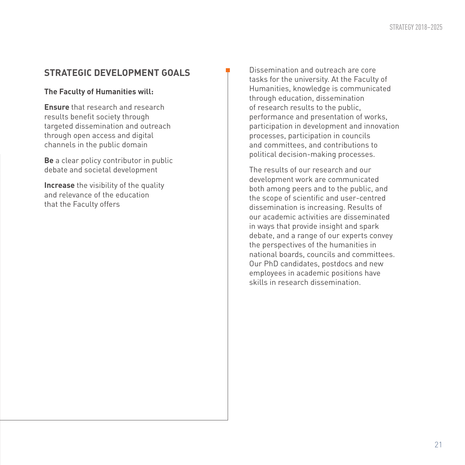#### **The Faculty of Humanities will:**

**Ensure** that research and research results benefit society through targeted dissemination and outreach through open access and digital channels in the public domain

**Be** a clear policy contributor in public debate and societal development

**Increase** the visibility of the quality and relevance of the education that the Faculty offers

Dissemination and outreach are core tasks for the university. At the Faculty of Humanities, knowledge is communicated through education, dissemination of research results to the public, performance and presentation of works, participation in development and innovation processes, participation in councils and committees, and contributions to political decision-making processes.

The results of our research and our development work are communicated both among peers and to the public, and the scope of scientific and user-centred dissemination is increasing. Results of our academic activities are disseminated in ways that provide insight and spark debate, and a range of our experts convey the perspectives of the humanities in national boards, councils and committees. Our PhD candidates, postdocs and new employees in academic positions have skills in research dissemination.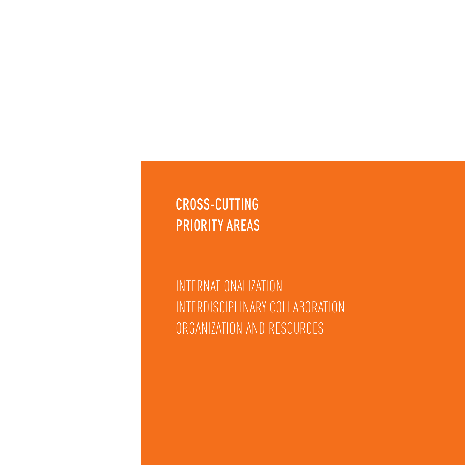CROSS-CUTTING PRIORITY AREAS

INTERNATIONALIZATION INTERDISCIPLINARY COLLABORATION ORGANIZATION AND RESOURCES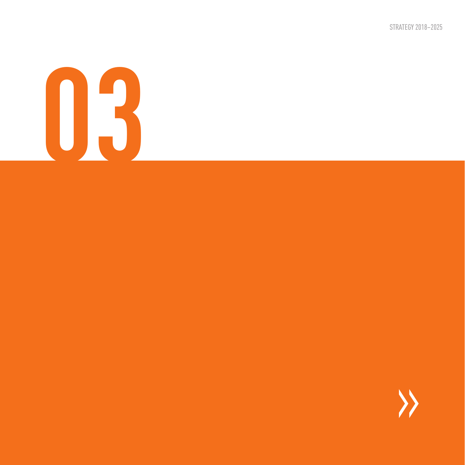STRATEGY 2018–2025

# **03**

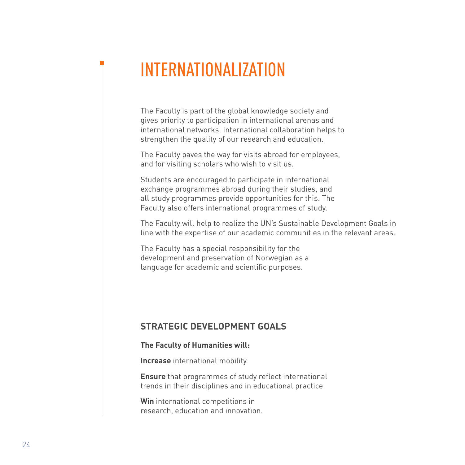### INTERNATIONALIZATION

The Faculty is part of the global knowledge society and gives priority to participation in international arenas and international networks. International collaboration helps to strengthen the quality of our research and education.

The Faculty paves the way for visits abroad for employees, and for visiting scholars who wish to visit us.

Students are encouraged to participate in international exchange programmes abroad during their studies, and all study programmes provide opportunities for this. The Faculty also offers international programmes of study.

The Faculty will help to realize the UN's Sustainable Development Goals in line with the expertise of our academic communities in the relevant areas.

The Faculty has a special responsibility for the development and preservation of Norwegian as a language for academic and scientific purposes.

#### **STRATEGIC DEVELOPMENT GOALS**

#### **The Faculty of Humanities will:**

**Increase** international mobility

**Ensure** that programmes of study reflect international trends in their disciplines and in educational practice

**Win** international competitions in research, education and innovation.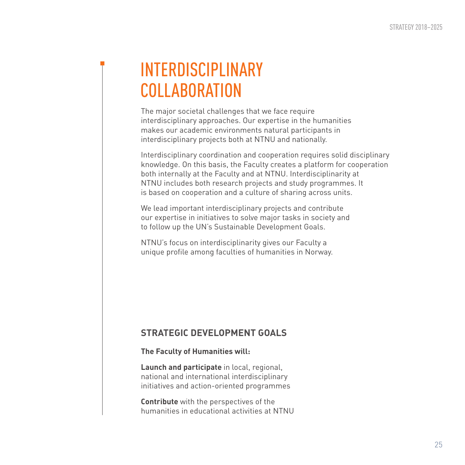### INTERDISCIPLINARY **COLLABORATION**

The major societal challenges that we face require interdisciplinary approaches. Our expertise in the humanities makes our academic environments natural participants in interdisciplinary projects both at NTNU and nationally.

Interdisciplinary coordination and cooperation requires solid disciplinary knowledge. On this basis, the Faculty creates a platform for cooperation both internally at the Faculty and at NTNU. Interdisciplinarity at NTNU includes both research projects and study programmes. It is based on cooperation and a culture of sharing across units.

We lead important interdisciplinary projects and contribute our expertise in initiatives to solve major tasks in society and to follow up the UN's Sustainable Development Goals.

NTNU's focus on interdisciplinarity gives our Faculty a unique profile among faculties of humanities in Norway.

#### **STRATEGIC DEVELOPMENT GOALS**

#### **The Faculty of Humanities will:**

**Launch and participate** in local, regional, national and international interdisciplinary initiatives and action-oriented programmes

**Contribute** with the perspectives of the humanities in educational activities at NTNU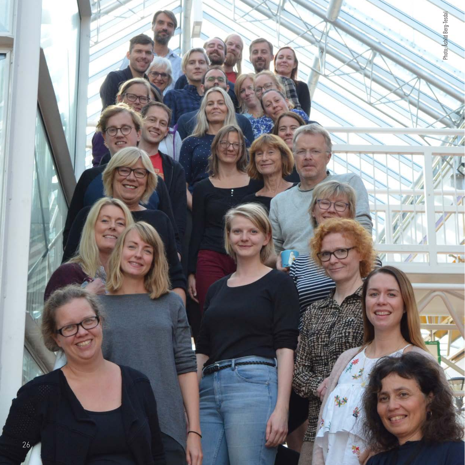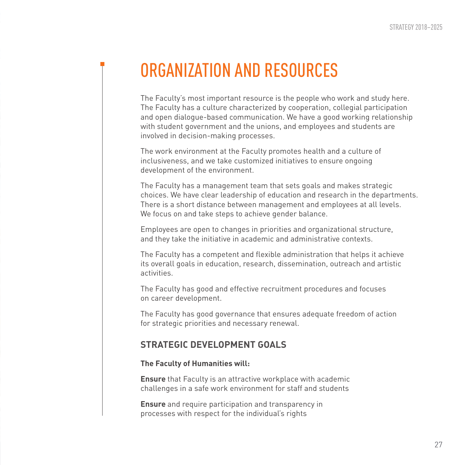### ORGANIZATION AND RESOURCES

The Faculty's most important resource is the people who work and study here. The Faculty has a culture characterized by cooperation, collegial participation and open dialogue-based communication. We have a good working relationship with student government and the unions, and employees and students are involved in decision-making processes.

The work environment at the Faculty promotes health and a culture of inclusiveness, and we take customized initiatives to ensure ongoing development of the environment.

The Faculty has a management team that sets goals and makes strategic choices. We have clear leadership of education and research in the departments. There is a short distance between management and employees at all levels. We focus on and take steps to achieve gender balance.

Employees are open to changes in priorities and organizational structure, and they take the initiative in academic and administrative contexts.

The Faculty has a competent and flexible administration that helps it achieve its overall goals in education, research, dissemination, outreach and artistic activities.

The Faculty has good and effective recruitment procedures and focuses on career development.

The Faculty has good governance that ensures adequate freedom of action for strategic priorities and necessary renewal.

#### **STRATEGIC DEVELOPMENT GOALS**

#### **The Faculty of Humanities will:**

**Ensure** that Faculty is an attractive workplace with academic challenges in a safe work environment for staff and students

**Ensure** and require participation and transparency in processes with respect for the individual's rights